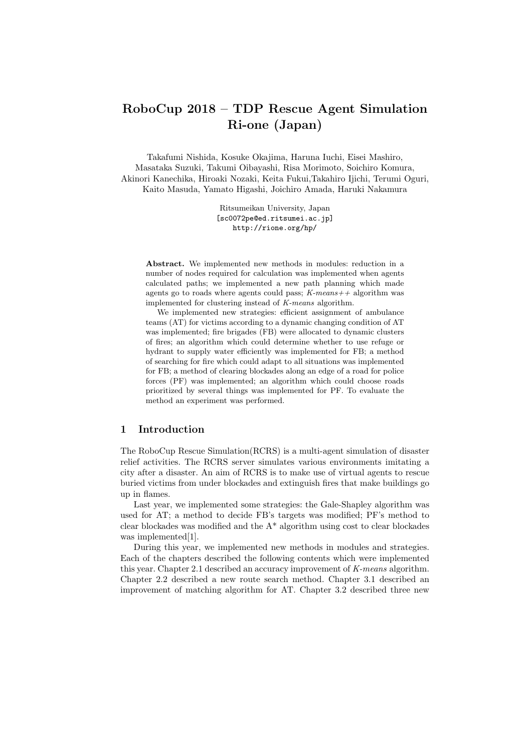# **RoboCup 2018 – TDP Rescue Agent Simulation Ri-one (Japan)**

Takafumi Nishida, Kosuke Okajima, Haruna Iuchi, Eisei Mashiro, Masataka Suzuki, Takumi Oibayashi, Risa Morimoto, Soichiro Komura, Akinori Kanechika, Hiroaki Nozaki, Keita Fukui,Takahiro Ijichi, Terumi Oguri, Kaito Masuda, Yamato Higashi, Joichiro Amada, Haruki Nakamura

> Ritsumeikan University, Japan [sc0072pe@ed.ritsumei.ac.jp] http://rione.org/hp/

**Abstract.** We implemented new methods in modules: reduction in a number of nodes required for calculation was implemented when agents calculated paths; we implemented a new path planning which made agents go to roads where agents could pass; *K-means++* algorithm was implemented for clustering instead of *K-means* algorithm.

We implemented new strategies: efficient assignment of ambulance teams (AT) for victims according to a dynamic changing condition of AT was implemented; fire brigades (FB) were allocated to dynamic clusters of fires; an algorithm which could determine whether to use refuge or hydrant to supply water efficiently was implemented for FB; a method of searching for fire which could adapt to all situations was implemented for FB; a method of clearing blockades along an edge of a road for police forces (PF) was implemented; an algorithm which could choose roads prioritized by several things was implemented for PF. To evaluate the method an experiment was performed.

# **1 Introduction**

The RoboCup Rescue Simulation(RCRS) is a multi-agent simulation of disaster relief activities. The RCRS server simulates various environments imitating a city after a disaster. An aim of RCRS is to make use of virtual agents to rescue buried victims from under blockades and extinguish fires that make buildings go up in flames.

Last year, we implemented some strategies: the Gale-Shapley algorithm was used for AT; a method to decide FB's targets was modified; PF's method to clear blockades was modified and the  $A^*$  algorithm using cost to clear blockades was implemented<sup>[1]</sup>.

During this year, we implemented new methods in modules and strategies. Each of the chapters described the following contents which were implemented this year. Chapter 2.1 described an accuracy improvement of *K-means* algorithm. Chapter 2.2 described a new route search method. Chapter 3.1 described an improvement of matching algorithm for AT. Chapter 3.2 described three new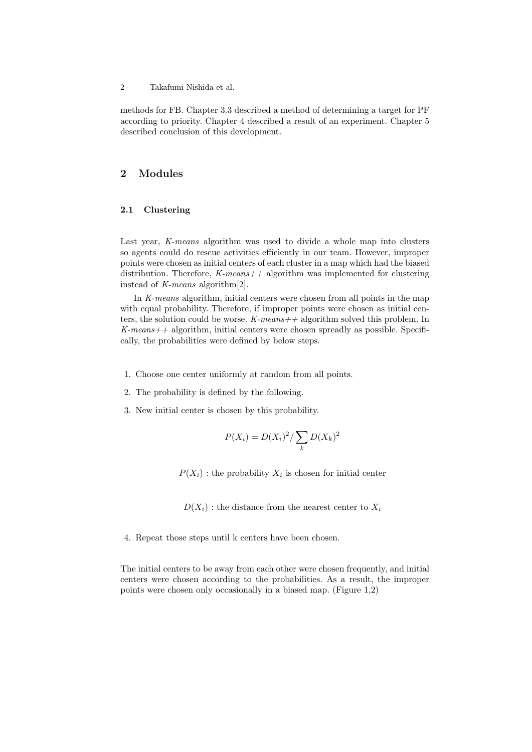methods for FB. Chapter 3.3 described a method of determining a target for PF according to priority. Chapter 4 described a result of an experiment. Chapter 5 described conclusion of this development.

# **2 Modules**

## **2.1 Clustering**

Last year, *K-means* algorithm was used to divide a whole map into clusters so agents could do rescue activities efficiently in our team. However, improper points were chosen as initial centers of each cluster in a map which had the biased distribution. Therefore, *K-means++* algorithm was implemented for clustering instead of *K-means* algorithm[2].

In *K-means* algorithm, initial centers were chosen from all points in the map with equal probability. Therefore, if improper points were chosen as initial centers, the solution could be worse. *K-means++* algorithm solved this problem. In *K-means++* algorithm, initial centers were chosen spreadly as possible. Specifically, the probabilities were defined by below steps.

- 1. Choose one center uniformly at random from all points.
- 2. The probability is defined by the following.
- 3. New initial center is chosen by this probability.

$$
P(X_i) = D(X_i)^2 / \sum_k D(X_k)^2
$$

 $P(X_i)$ : the probability  $X_i$  is chosen for initial center

 $D(X_i)$ : the distance from the nearest center to  $X_i$ 

4. Repeat those steps until k centers have been chosen.

The initial centers to be away from each other were chosen frequently, and initial centers were chosen according to the probabilities. As a result, the improper points were chosen only occasionally in a biased map. (Figure 1,2)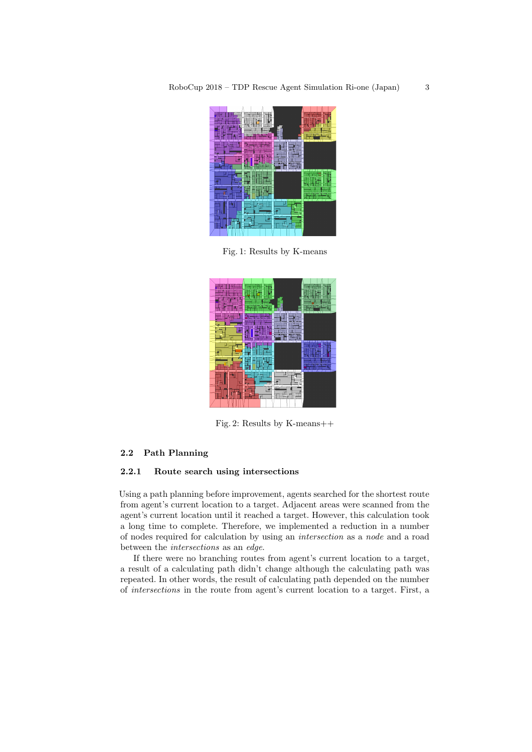

Fig. 1: Results by K-means



Fig. 2: Results by K-means++

# **2.2 Path Planning**

## **2.2.1 Route search using intersections**

Using a path planning before improvement, agents searched for the shortest route from agent's current location to a target. Adjacent areas were scanned from the agent's current location until it reached a target. However, this calculation took a long time to complete. Therefore, we implemented a reduction in a number of nodes required for calculation by using an *intersection* as a *node* and a road between the *intersections* as an *edge*.

If there were no branching routes from agent's current location to a target, a result of a calculating path didn't change although the calculating path was repeated. In other words, the result of calculating path depended on the number of *intersections* in the route from agent's current location to a target. First, a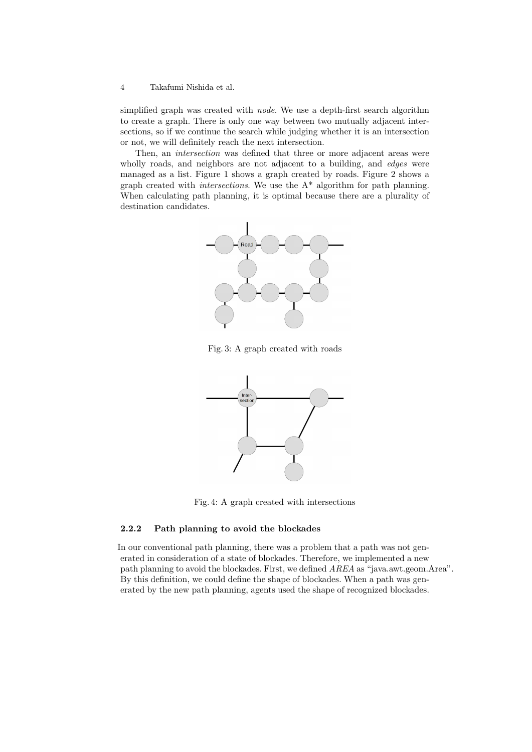simplified graph was created with *node*. We use a depth-first search algorithm to create a graph. There is only one way between two mutually adjacent intersections, so if we continue the search while judging whether it is an intersection or not, we will definitely reach the next intersection.

Then, an *intersection* was defined that three or more adjacent areas were wholly roads, and neighbors are not adjacent to a building, and *edges* were managed as a list. Figure 1 shows a graph created by roads. Figure 2 shows a graph created with *intersections*. We use the A\* algorithm for path planning. When calculating path planning, it is optimal because there are a plurality of destination candidates.



Fig. 3: A graph created with roads



Fig. 4: A graph created with intersections

#### **2.2.2 Path planning to avoid the blockades**

In our conventional path planning, there was a problem that a path was not generated in consideration of a state of blockades. Therefore, we implemented a new path planning to avoid the blockades. First, we defined *AREA* as "java.awt.geom.Area". By this definition, we could define the shape of blockades. When a path was generated by the new path planning, agents used the shape of recognized blockades.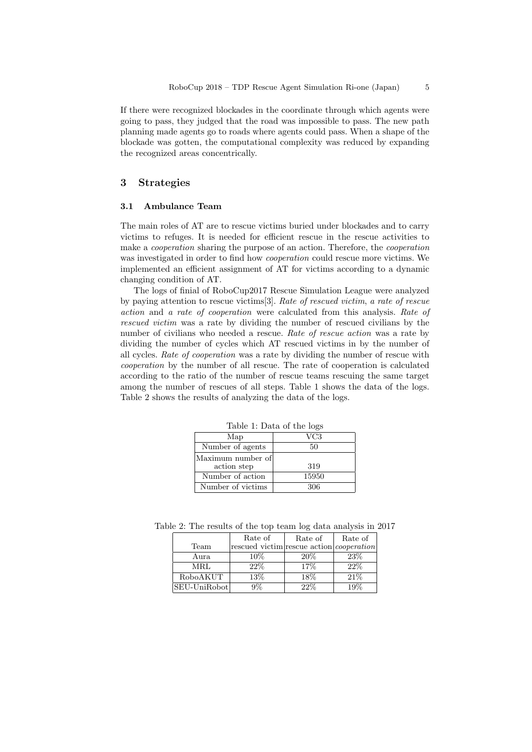If there were recognized blockades in the coordinate through which agents were going to pass, they judged that the road was impossible to pass. The new path planning made agents go to roads where agents could pass. When a shape of the blockade was gotten, the computational complexity was reduced by expanding the recognized areas concentrically.

# **3 Strategies**

## **3.1 Ambulance Team**

The main roles of AT are to rescue victims buried under blockades and to carry victims to refuges. It is needed for efficient rescue in the rescue activities to make a *cooperation* sharing the purpose of an action. Therefore, the *cooperation* was investigated in order to find how *cooperation* could rescue more victims. We implemented an efficient assignment of AT for victims according to a dynamic changing condition of AT.

The logs of finial of RoboCup2017 Rescue Simulation League were analyzed by paying attention to rescue victims[3]. *Rate of rescued victim*, *a rate of rescue action* and *a rate of cooperation* were calculated from this analysis. *Rate of rescued victim* was a rate by dividing the number of rescued civilians by the number of civilians who needed a rescue. *Rate of rescue action* was a rate by dividing the number of cycles which AT rescued victims in by the number of all cycles. *Rate of cooperation* was a rate by dividing the number of rescue with *cooperation* by the number of all rescue. The rate of cooperation is calculated according to the ratio of the number of rescue teams rescuing the same target among the number of rescues of all steps. Table 1 shows the data of the logs. Table 2 shows the results of analyzing the data of the logs.

| rable 1: Data of the logs |       |  |  |
|---------------------------|-------|--|--|
| Map                       | VC3   |  |  |
| Number of agents          | 50    |  |  |
| Maximum number of         |       |  |  |
| action step               | 319   |  |  |
| Number of action          | 15950 |  |  |
| Number of victims         | 306   |  |  |

Table 1: Data of the logs

Table 2: The results of the top team log data analysis in 2017

| Team         | Rate of<br>rescued victim rescue action <i>cooperation</i> | Rate of | Rate of |
|--------------|------------------------------------------------------------|---------|---------|
| Aura         | 10%                                                        | 20%     | 23%     |
| MRL          | 22%                                                        | 17\%    | 22%     |
| RoboAKUT     | 13%                                                        | 18%     | 21\%    |
| SEU-UniRobot | 9%                                                         | $22\%$  | 19%     |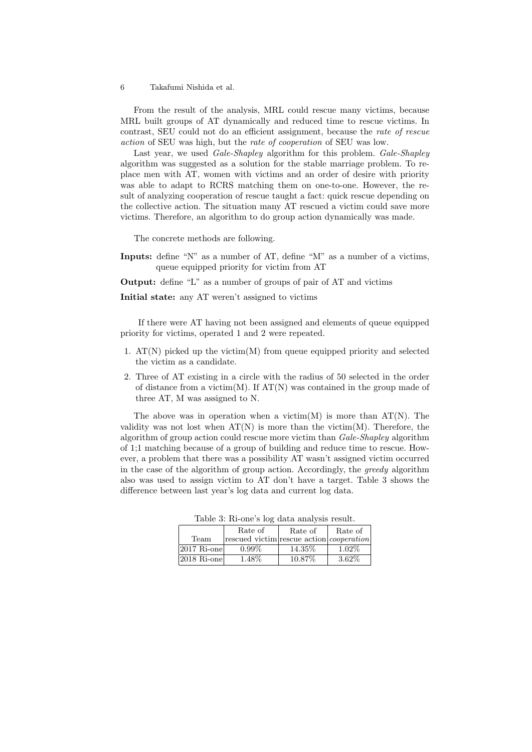From the result of the analysis, MRL could rescue many victims, because MRL built groups of AT dynamically and reduced time to rescue victims. In contrast, SEU could not do an efficient assignment, because the *rate of rescue action* of SEU was high, but the *rate of cooperation* of SEU was low.

Last year, we used *Gale-Shapley* algorithm for this problem. *Gale-Shapley* algorithm was suggested as a solution for the stable marriage problem. To replace men with AT, women with victims and an order of desire with priority was able to adapt to RCRS matching them on one-to-one. However, the result of analyzing cooperation of rescue taught a fact: quick rescue depending on the collective action. The situation many AT rescued a victim could save more victims. Therefore, an algorithm to do group action dynamically was made.

The concrete methods are following.

**Inputs:** define "N" as a number of AT, define "M" as a number of a victims, queue equipped priority for victim from AT

**Output:** define "L" as a number of groups of pair of AT and victims

**Initial state:** any AT weren't assigned to victims

If there were AT having not been assigned and elements of queue equipped priority for victims, operated 1 and 2 were repeated.

- 1.  $AT(N)$  picked up the victim(M) from queue equipped priority and selected the victim as a candidate.
- 2. Three of AT existing in a circle with the radius of 50 selected in the order of distance from a victim(M). If  $AT(N)$  was contained in the group made of three AT, M was assigned to N.

The above was in operation when a victim(M) is more than  $AT(N)$ . The validity was not lost when  $AT(N)$  is more than the victim(M). Therefore, the algorithm of group action could rescue more victim than *Gale-Shapley* algorithm of 1;1 matching because of a group of building and reduce time to rescue. However, a problem that there was a possibility AT wasn't assigned victim occurred in the case of the algorithm of group action. Accordingly, the *greedy* algorithm also was used to assign victim to AT don't have a target. Table 3 shows the difference between last year's log data and current log data.

|                         | Rate of                                         | Rate of | Rate of  |  |  |
|-------------------------|-------------------------------------------------|---------|----------|--|--|
| Team                    | rescued victim rescue action <i>cooperation</i> |         |          |  |  |
| $ 2017 \text{ Ri-one} $ | $0.99\%$                                        | 14.35%  | $1.02\%$ |  |  |
| $ 2018 \text{ Ri-one} $ | $1.48\%$                                        | 10.87%  | 3.62%    |  |  |

Table 3: Ri-one's log data analysis result.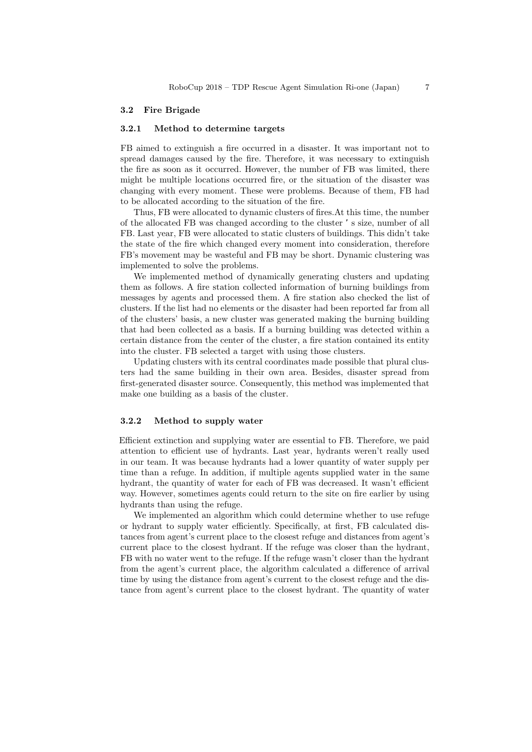#### **3.2 Fire Brigade**

## **3.2.1 Method to determine targets**

FB aimed to extinguish a fire occurred in a disaster. It was important not to spread damages caused by the fire. Therefore, it was necessary to extinguish the fire as soon as it occurred. However, the number of FB was limited, there might be multiple locations occurred fire, or the situation of the disaster was changing with every moment. These were problems. Because of them, FB had to be allocated according to the situation of the fire.

Thus, FB were allocated to dynamic clusters of fires.At this time, the number of the allocated FB was changed according to the cluster 's size, number of all FB. Last year, FB were allocated to static clusters of buildings. This didn't take the state of the fire which changed every moment into consideration, therefore FB's movement may be wasteful and FB may be short. Dynamic clustering was implemented to solve the problems.

We implemented method of dynamically generating clusters and updating them as follows. A fire station collected information of burning buildings from messages by agents and processed them. A fire station also checked the list of clusters. If the list had no elements or the disaster had been reported far from all of the clusters' basis, a new cluster was generated making the burning building that had been collected as a basis. If a burning building was detected within a certain distance from the center of the cluster, a fire station contained its entity into the cluster. FB selected a target with using those clusters.

Updating clusters with its central coordinates made possible that plural clusters had the same building in their own area. Besides, disaster spread from first-generated disaster source. Consequently, this method was implemented that make one building as a basis of the cluster.

## **3.2.2 Method to supply water**

Efficient extinction and supplying water are essential to FB. Therefore, we paid attention to efficient use of hydrants. Last year, hydrants weren't really used in our team. It was because hydrants had a lower quantity of water supply per time than a refuge. In addition, if multiple agents supplied water in the same hydrant, the quantity of water for each of FB was decreased. It wasn't efficient way. However, sometimes agents could return to the site on fire earlier by using hydrants than using the refuge.

We implemented an algorithm which could determine whether to use refuge or hydrant to supply water efficiently. Specifically, at first, FB calculated distances from agent's current place to the closest refuge and distances from agent's current place to the closest hydrant. If the refuge was closer than the hydrant, FB with no water went to the refuge. If the refuge wasn't closer than the hydrant from the agent's current place, the algorithm calculated a difference of arrival time by using the distance from agent's current to the closest refuge and the distance from agent's current place to the closest hydrant. The quantity of water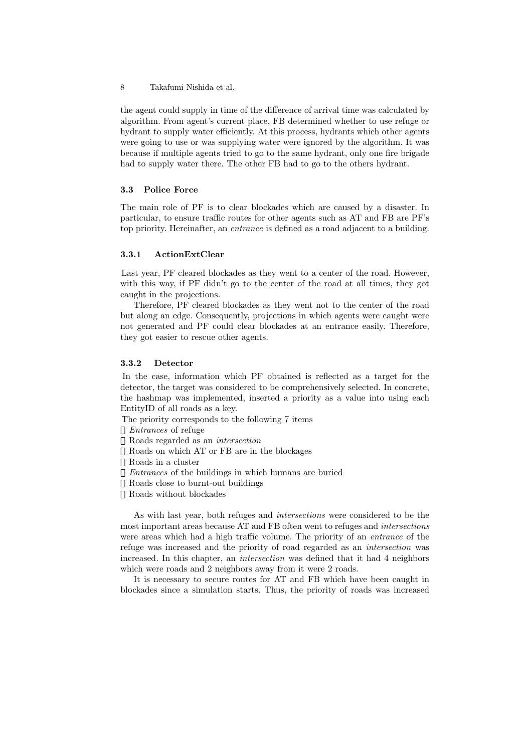the agent could supply in time of the difference of arrival time was calculated by algorithm. From agent's current place, FB determined whether to use refuge or hydrant to supply water efficiently. At this process, hydrants which other agents were going to use or was supplying water were ignored by the algorithm. It was because if multiple agents tried to go to the same hydrant, only one fire brigade had to supply water there. The other FB had to go to the others hydrant.

## **3.3 Police Force**

The main role of PF is to clear blockades which are caused by a disaster. In particular, to ensure traffic routes for other agents such as AT and FB are PF's top priority. Hereinafter, an *entrance* is defined as a road adjacent to a building.

#### **3.3.1 ActionExtClear**

Last year, PF cleared blockades as they went to a center of the road. However, with this way, if PF didn't go to the center of the road at all times, they got caught in the projections.

Therefore, PF cleared blockades as they went not to the center of the road but along an edge. Consequently, projections in which agents were caught were not generated and PF could clear blockades at an entrance easily. Therefore, they got easier to rescue other agents.

## **3.3.2 Detector**

In the case, information which PF obtained is reflected as a target for the detector, the target was considered to be comprehensively selected. In concrete, the hashmap was implemented, inserted a priority as a value into using each EntityID of all roads as a key.

The priority corresponds to the following 7 items *Entrances* of refuge Roads regarded as an *intersection* Roads on which AT or FB are in the blockages Roads in a cluster *Entrances* of the buildings in which humans are buried Roads close to burnt-out buildings Roads without blockades

As with last year, both refuges and *intersections* were considered to be the most important areas because AT and FB often went to refuges and *intersections* were areas which had a high traffic volume. The priority of an *entrance* of the refuge was increased and the priority of road regarded as an *intersection* was increased. In this chapter, an *intersection* was defined that it had 4 neighbors which were roads and 2 neighbors away from it were 2 roads.

It is necessary to secure routes for AT and FB which have been caught in blockades since a simulation starts. Thus, the priority of roads was increased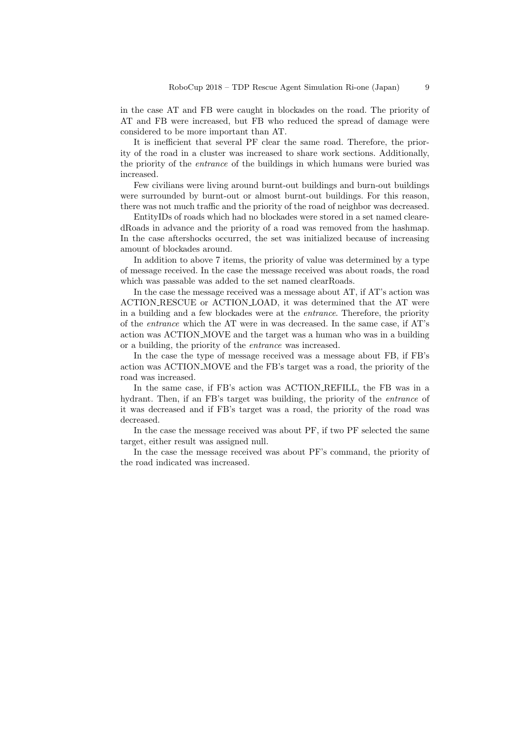in the case AT and FB were caught in blockades on the road. The priority of AT and FB were increased, but FB who reduced the spread of damage were considered to be more important than AT.

It is inefficient that several PF clear the same road. Therefore, the priority of the road in a cluster was increased to share work sections. Additionally, the priority of the *entrance* of the buildings in which humans were buried was increased.

Few civilians were living around burnt-out buildings and burn-out buildings were surrounded by burnt-out or almost burnt-out buildings. For this reason, there was not much traffic and the priority of the road of neighbor was decreased.

EntityIDs of roads which had no blockades were stored in a set named clearedRoads in advance and the priority of a road was removed from the hashmap. In the case aftershocks occurred, the set was initialized because of increasing amount of blockades around.

In addition to above 7 items, the priority of value was determined by a type of message received. In the case the message received was about roads, the road which was passable was added to the set named clearRoads.

In the case the message received was a message about AT, if AT's action was ACTION RESCUE or ACTION LOAD, it was determined that the AT were in a building and a few blockades were at the *entrance*. Therefore, the priority of the *entrance* which the AT were in was decreased. In the same case, if AT's action was ACTION MOVE and the target was a human who was in a building or a building, the priority of the *entrance* was increased.

In the case the type of message received was a message about FB, if FB's action was ACTION MOVE and the FB's target was a road, the priority of the road was increased.

In the same case, if FB's action was ACTION REFILL, the FB was in a hydrant. Then, if an FB's target was building, the priority of the *entrance* of it was decreased and if FB's target was a road, the priority of the road was decreased.

In the case the message received was about PF, if two PF selected the same target, either result was assigned null.

In the case the message received was about PF's command, the priority of the road indicated was increased.